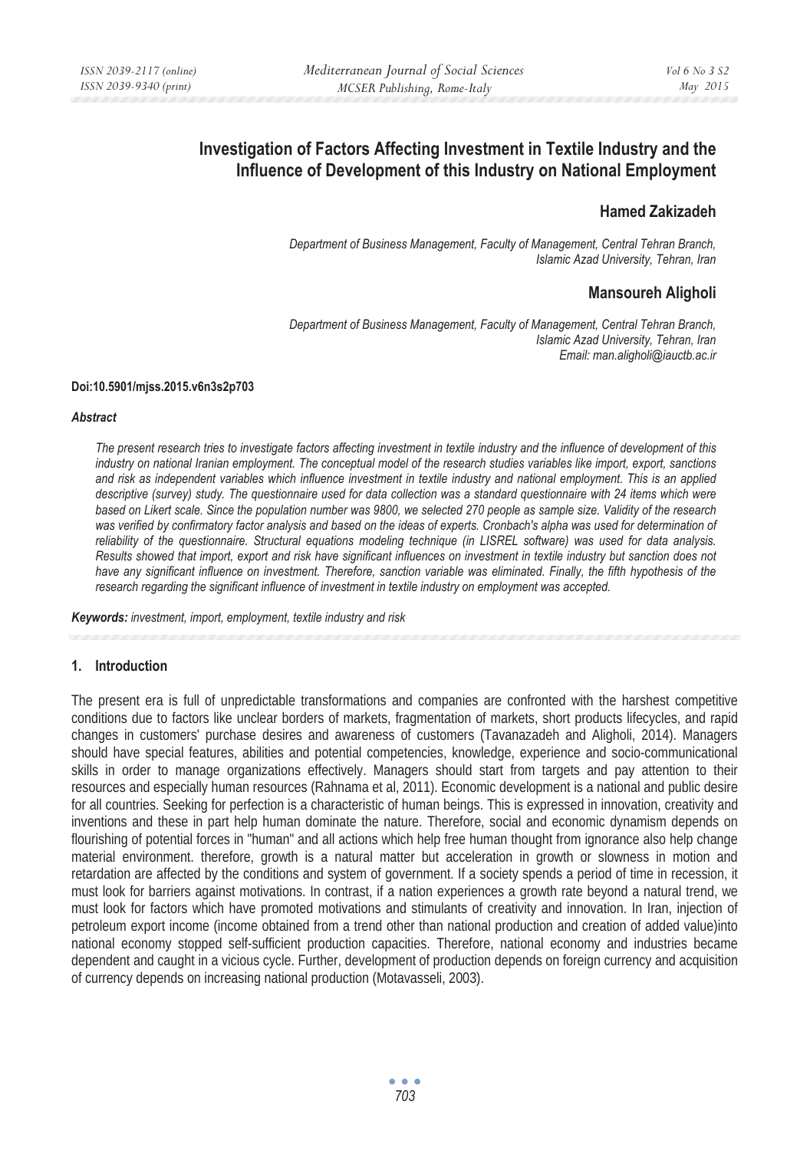# **Investigation of Factors Affecting Investment in Textile Industry and the Influence of Development of this Industry on National Employment**

# **Hamed Zakizadeh**

*Department of Business Management, Faculty of Management, Central Tehran Branch, Islamic Azad University, Tehran, Iran* 

# **Mansoureh Aligholi**

*Department of Business Management, Faculty of Management, Central Tehran Branch, Islamic Azad University, Tehran, Iran Email: man.aligholi@iauctb.ac.ir* 

#### **Doi:10.5901/mjss.2015.v6n3s2p703**

#### *Abstract*

*The present research tries to investigate factors affecting investment in textile industry and the influence of development of this industry on national Iranian employment. The conceptual model of the research studies variables like import, export, sanctions and risk as independent variables which influence investment in textile industry and national employment. This is an applied descriptive (survey) study. The questionnaire used for data collection was a standard questionnaire with 24 items which were based on Likert scale. Since the population number was 9800, we selected 270 people as sample size. Validity of the research was verified by confirmatory factor analysis and based on the ideas of experts. Cronbach's alpha was used for determination of reliability of the questionnaire. Structural equations modeling technique (in LISREL software) was used for data analysis. Results showed that import, export and risk have significant influences on investment in textile industry but sanction does not have any significant influence on investment. Therefore, sanction variable was eliminated. Finally, the fifth hypothesis of the research regarding the significant influence of investment in textile industry on employment was accepted.* 

*Keywords: investment, import, employment, textile industry and risk* 

#### **1. Introduction**

The present era is full of unpredictable transformations and companies are confronted with the harshest competitive conditions due to factors like unclear borders of markets, fragmentation of markets, short products lifecycles, and rapid changes in customers' purchase desires and awareness of customers (Tavanazadeh and Aligholi, 2014). Managers should have special features, abilities and potential competencies, knowledge, experience and socio-communicational skills in order to manage organizations effectively. Managers should start from targets and pay attention to their resources and especially human resources (Rahnama et al, 2011). Economic development is a national and public desire for all countries. Seeking for perfection is a characteristic of human beings. This is expressed in innovation, creativity and inventions and these in part help human dominate the nature. Therefore, social and economic dynamism depends on flourishing of potential forces in "human" and all actions which help free human thought from ignorance also help change material environment. therefore, growth is a natural matter but acceleration in growth or slowness in motion and retardation are affected by the conditions and system of government. If a society spends a period of time in recession, it must look for barriers against motivations. In contrast, if a nation experiences a growth rate beyond a natural trend, we must look for factors which have promoted motivations and stimulants of creativity and innovation. In Iran, injection of petroleum export income (income obtained from a trend other than national production and creation of added value)into national economy stopped self-sufficient production capacities. Therefore, national economy and industries became dependent and caught in a vicious cycle. Further, development of production depends on foreign currency and acquisition of currency depends on increasing national production (Motavasseli, 2003).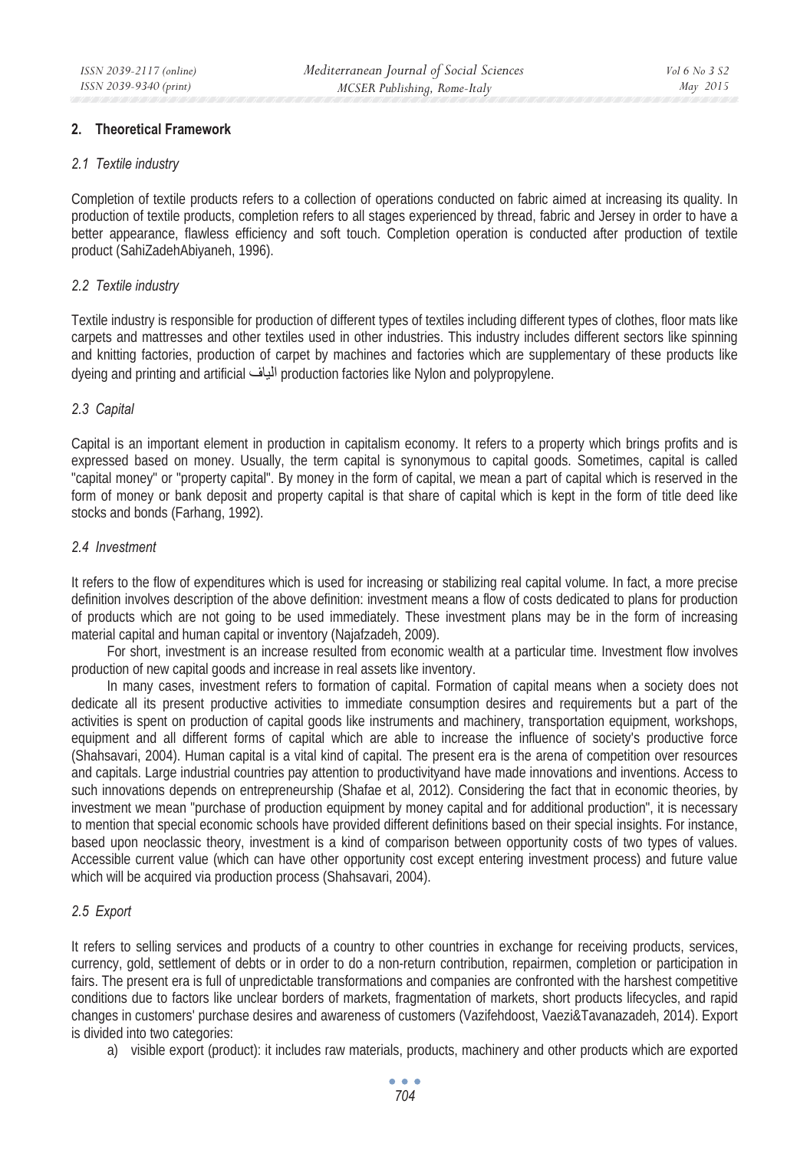### **2. Theoretical Framework**

#### *2.1 Textile industry*

Completion of textile products refers to a collection of operations conducted on fabric aimed at increasing its quality. In production of textile products, completion refers to all stages experienced by thread, fabric and Jersey in order to have a better appearance, flawless efficiency and soft touch. Completion operation is conducted after production of textile product (SahiZadehAbiyaneh, 1996).

#### *2.2 Textile industry*

Textile industry is responsible for production of different types of textiles including different types of clothes, floor mats like carpets and mattresses and other textiles used in other industries. This industry includes different sectors like spinning and knitting factories, production of carpet by machines and factories which are supplementary of these products like dyeing and printing and artificial المياف production factories like Nylon and polypropylene.

#### *2.3 Capital*

Capital is an important element in production in capitalism economy. It refers to a property which brings profits and is expressed based on money. Usually, the term capital is synonymous to capital goods. Sometimes, capital is called "capital money" or "property capital". By money in the form of capital, we mean a part of capital which is reserved in the form of money or bank deposit and property capital is that share of capital which is kept in the form of title deed like stocks and bonds (Farhang, 1992).

#### *2.4 Investment*

It refers to the flow of expenditures which is used for increasing or stabilizing real capital volume. In fact, a more precise definition involves description of the above definition: investment means a flow of costs dedicated to plans for production of products which are not going to be used immediately. These investment plans may be in the form of increasing material capital and human capital or inventory (Najafzadeh, 2009).

For short, investment is an increase resulted from economic wealth at a particular time. Investment flow involves production of new capital goods and increase in real assets like inventory.

In many cases, investment refers to formation of capital. Formation of capital means when a society does not dedicate all its present productive activities to immediate consumption desires and requirements but a part of the activities is spent on production of capital goods like instruments and machinery, transportation equipment, workshops, equipment and all different forms of capital which are able to increase the influence of society's productive force (Shahsavari, 2004). Human capital is a vital kind of capital. The present era is the arena of competition over resources and capitals. Large industrial countries pay attention to productivityand have made innovations and inventions. Access to such innovations depends on entrepreneurship (Shafae et al, 2012). Considering the fact that in economic theories, by investment we mean "purchase of production equipment by money capital and for additional production", it is necessary to mention that special economic schools have provided different definitions based on their special insights. For instance, based upon neoclassic theory, investment is a kind of comparison between opportunity costs of two types of values. Accessible current value (which can have other opportunity cost except entering investment process) and future value which will be acquired via production process (Shahsavari, 2004).

# *2.5 Export*

It refers to selling services and products of a country to other countries in exchange for receiving products, services, currency, gold, settlement of debts or in order to do a non-return contribution, repairmen, completion or participation in fairs. The present era is full of unpredictable transformations and companies are confronted with the harshest competitive conditions due to factors like unclear borders of markets, fragmentation of markets, short products lifecycles, and rapid changes in customers' purchase desires and awareness of customers (Vazifehdoost, Vaezi&Tavanazadeh, 2014). Export is divided into two categories:

a) visible export (product): it includes raw materials, products, machinery and other products which are exported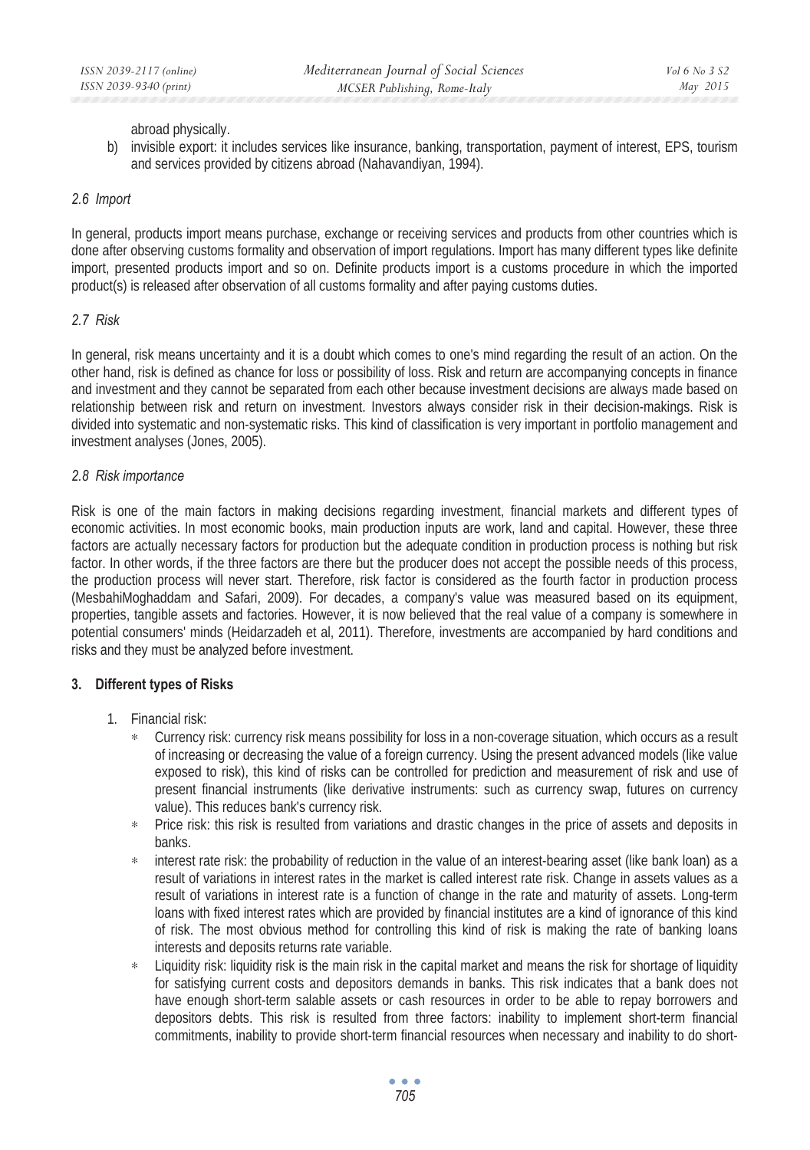abroad physically.

b) invisible export: it includes services like insurance, banking, transportation, payment of interest, EPS, tourism and services provided by citizens abroad (Nahavandiyan, 1994).

# *2.6 Import*

In general, products import means purchase, exchange or receiving services and products from other countries which is done after observing customs formality and observation of import regulations. Import has many different types like definite import, presented products import and so on. Definite products import is a customs procedure in which the imported product(s) is released after observation of all customs formality and after paying customs duties.

# *2.7 Risk*

In general, risk means uncertainty and it is a doubt which comes to one's mind regarding the result of an action. On the other hand, risk is defined as chance for loss or possibility of loss. Risk and return are accompanying concepts in finance and investment and they cannot be separated from each other because investment decisions are always made based on relationship between risk and return on investment. Investors always consider risk in their decision-makings. Risk is divided into systematic and non-systematic risks. This kind of classification is very important in portfolio management and investment analyses (Jones, 2005).

# *2.8 Risk importance*

Risk is one of the main factors in making decisions regarding investment, financial markets and different types of economic activities. In most economic books, main production inputs are work, land and capital. However, these three factors are actually necessary factors for production but the adequate condition in production process is nothing but risk factor. In other words, if the three factors are there but the producer does not accept the possible needs of this process, the production process will never start. Therefore, risk factor is considered as the fourth factor in production process (MesbahiMoghaddam and Safari, 2009). For decades, a company's value was measured based on its equipment, properties, tangible assets and factories. However, it is now believed that the real value of a company is somewhere in potential consumers' minds (Heidarzadeh et al, 2011). Therefore, investments are accompanied by hard conditions and risks and they must be analyzed before investment.

# **3. Different types of Risks**

- 1. Financial risk:
	- ∗ Currency risk: currency risk means possibility for loss in a non-coverage situation, which occurs as a result of increasing or decreasing the value of a foreign currency. Using the present advanced models (like value exposed to risk), this kind of risks can be controlled for prediction and measurement of risk and use of present financial instruments (like derivative instruments: such as currency swap, futures on currency value). This reduces bank's currency risk.
	- ∗ Price risk: this risk is resulted from variations and drastic changes in the price of assets and deposits in banks.
	- ∗ interest rate risk: the probability of reduction in the value of an interest-bearing asset (like bank loan) as a result of variations in interest rates in the market is called interest rate risk. Change in assets values as a result of variations in interest rate is a function of change in the rate and maturity of assets. Long-term loans with fixed interest rates which are provided by financial institutes are a kind of ignorance of this kind of risk. The most obvious method for controlling this kind of risk is making the rate of banking loans interests and deposits returns rate variable.
	- Liquidity risk: liquidity risk is the main risk in the capital market and means the risk for shortage of liquidity for satisfying current costs and depositors demands in banks. This risk indicates that a bank does not have enough short-term salable assets or cash resources in order to be able to repay borrowers and depositors debts. This risk is resulted from three factors: inability to implement short-term financial commitments, inability to provide short-term financial resources when necessary and inability to do short-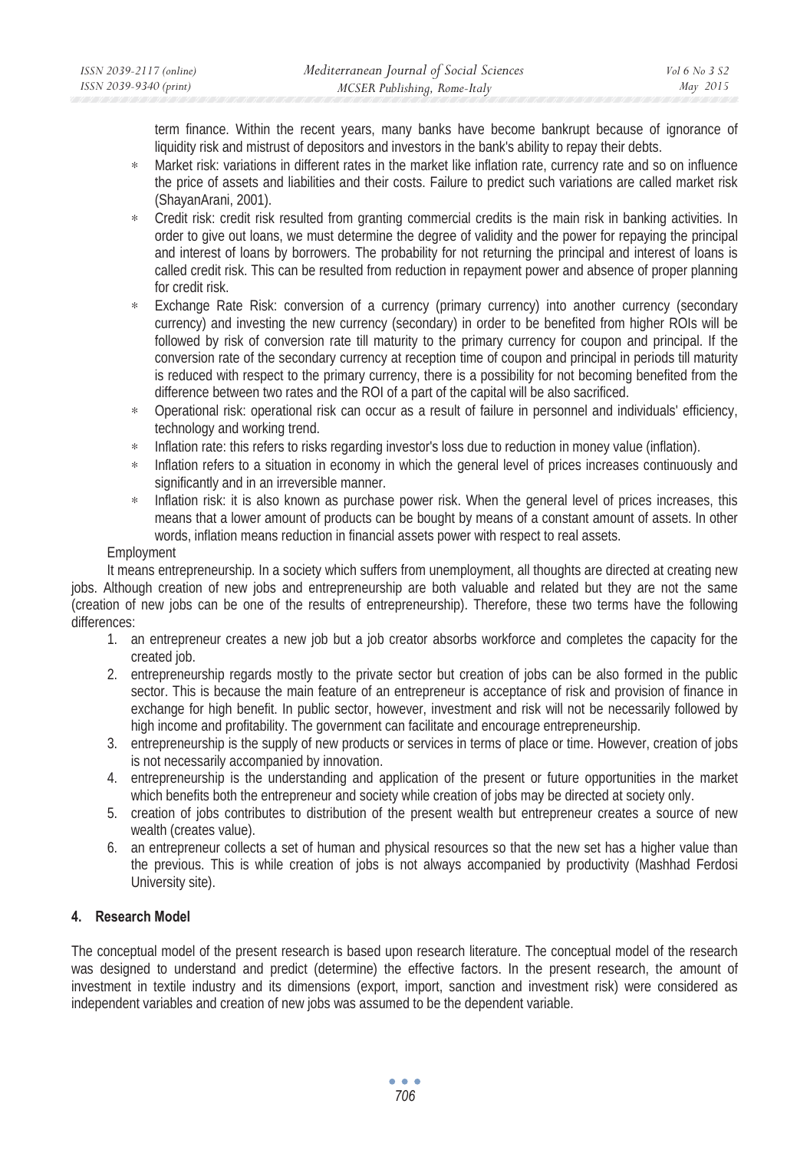term finance. Within the recent years, many banks have become bankrupt because of ignorance of liquidity risk and mistrust of depositors and investors in the bank's ability to repay their debts.

- ∗ Market risk: variations in different rates in the market like inflation rate, currency rate and so on influence the price of assets and liabilities and their costs. Failure to predict such variations are called market risk (ShayanArani, 2001).
- ∗ Credit risk: credit risk resulted from granting commercial credits is the main risk in banking activities. In order to give out loans, we must determine the degree of validity and the power for repaying the principal and interest of loans by borrowers. The probability for not returning the principal and interest of loans is called credit risk. This can be resulted from reduction in repayment power and absence of proper planning for credit risk.
- ∗ Exchange Rate Risk: conversion of a currency (primary currency) into another currency (secondary currency) and investing the new currency (secondary) in order to be benefited from higher ROIs will be followed by risk of conversion rate till maturity to the primary currency for coupon and principal. If the conversion rate of the secondary currency at reception time of coupon and principal in periods till maturity is reduced with respect to the primary currency, there is a possibility for not becoming benefited from the difference between two rates and the ROI of a part of the capital will be also sacrificed.
- ∗ Operational risk: operational risk can occur as a result of failure in personnel and individuals' efficiency, technology and working trend.
- ∗ Inflation rate: this refers to risks regarding investor's loss due to reduction in money value (inflation).
- ∗ Inflation refers to a situation in economy in which the general level of prices increases continuously and significantly and in an irreversible manner.
- ∗ Inflation risk: it is also known as purchase power risk. When the general level of prices increases, this means that a lower amount of products can be bought by means of a constant amount of assets. In other words, inflation means reduction in financial assets power with respect to real assets.

# Employment

It means entrepreneurship. In a society which suffers from unemployment, all thoughts are directed at creating new jobs. Although creation of new jobs and entrepreneurship are both valuable and related but they are not the same (creation of new jobs can be one of the results of entrepreneurship). Therefore, these two terms have the following differences:

- 1. an entrepreneur creates a new job but a job creator absorbs workforce and completes the capacity for the created job.
- 2. entrepreneurship regards mostly to the private sector but creation of jobs can be also formed in the public sector. This is because the main feature of an entrepreneur is acceptance of risk and provision of finance in exchange for high benefit. In public sector, however, investment and risk will not be necessarily followed by high income and profitability. The government can facilitate and encourage entrepreneurship.
- 3. entrepreneurship is the supply of new products or services in terms of place or time. However, creation of jobs is not necessarily accompanied by innovation.
- 4. entrepreneurship is the understanding and application of the present or future opportunities in the market which benefits both the entrepreneur and society while creation of jobs may be directed at society only.
- 5. creation of jobs contributes to distribution of the present wealth but entrepreneur creates a source of new wealth (creates value).
- 6. an entrepreneur collects a set of human and physical resources so that the new set has a higher value than the previous. This is while creation of jobs is not always accompanied by productivity (Mashhad Ferdosi University site).

# **4. Research Model**

The conceptual model of the present research is based upon research literature. The conceptual model of the research was designed to understand and predict (determine) the effective factors. In the present research, the amount of investment in textile industry and its dimensions (export, import, sanction and investment risk) were considered as independent variables and creation of new jobs was assumed to be the dependent variable.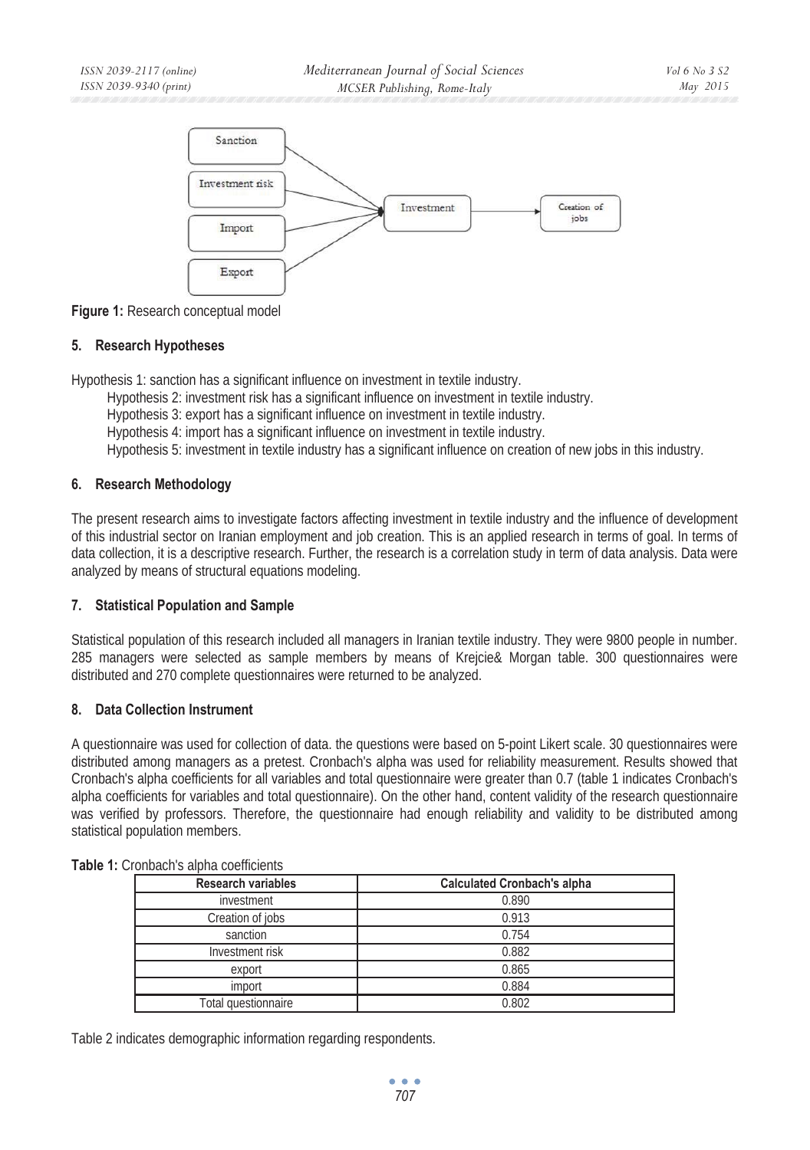

**Figure 1:** Research conceptual model

# **5. Research Hypotheses**

Hypothesis 1: sanction has a significant influence on investment in textile industry.

Hypothesis 2: investment risk has a significant influence on investment in textile industry.

Hypothesis 3: export has a significant influence on investment in textile industry.

Hypothesis 4: import has a significant influence on investment in textile industry.

Hypothesis 5: investment in textile industry has a significant influence on creation of new jobs in this industry.

# **6. Research Methodology**

The present research aims to investigate factors affecting investment in textile industry and the influence of development of this industrial sector on Iranian employment and job creation. This is an applied research in terms of goal. In terms of data collection, it is a descriptive research. Further, the research is a correlation study in term of data analysis. Data were analyzed by means of structural equations modeling.

# **7. Statistical Population and Sample**

Statistical population of this research included all managers in Iranian textile industry. They were 9800 people in number. 285 managers were selected as sample members by means of Krejcie& Morgan table. 300 questionnaires were distributed and 270 complete questionnaires were returned to be analyzed.

# **8. Data Collection Instrument**

A questionnaire was used for collection of data. the questions were based on 5-point Likert scale. 30 questionnaires were distributed among managers as a pretest. Cronbach's alpha was used for reliability measurement. Results showed that Cronbach's alpha coefficients for all variables and total questionnaire were greater than 0.7 (table 1 indicates Cronbach's alpha coefficients for variables and total questionnaire). On the other hand, content validity of the research questionnaire was verified by professors. Therefore, the questionnaire had enough reliability and validity to be distributed among statistical population members.

| <b>Research variables</b> | <b>Calculated Cronbach's alpha</b> |
|---------------------------|------------------------------------|
| investment                | 0.890                              |
| Creation of jobs          | 0.913                              |
| sanction                  | 0.754                              |
| Investment risk           | 0.882                              |
| export                    | 0.865                              |
| import                    | 0.884                              |
| Total questionnaire       | 0.802                              |

**Table 1:** Cronbach's alpha coefficients

Table 2 indicates demographic information regarding respondents.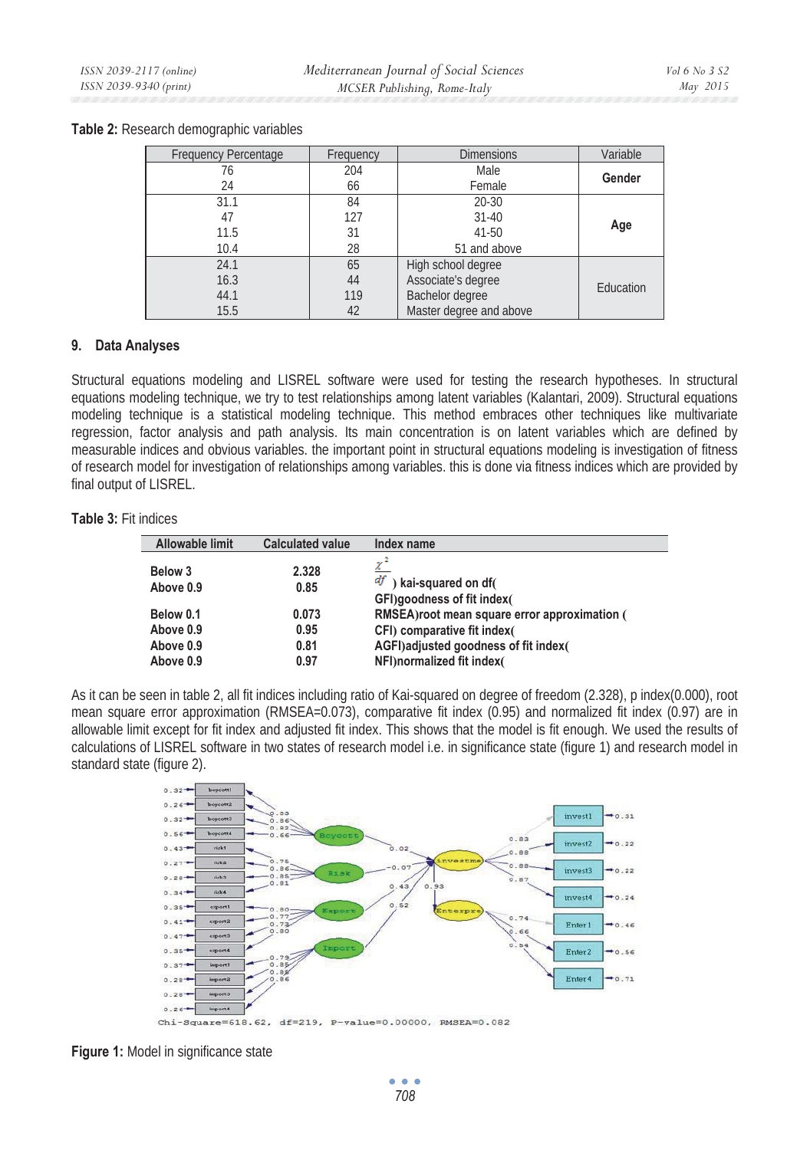#### **Table 2:** Research demographic variables

|      | <b>Frequency Percentage</b> | Frequency | <b>Dimensions</b>       | Variable  |
|------|-----------------------------|-----------|-------------------------|-----------|
|      | 76                          | 204       | Male                    | Gender    |
|      | 24                          | 66        | Female                  |           |
|      | 31.1                        | 84        | $20 - 30$               |           |
|      | 47                          | 127       | $31 - 40$               |           |
|      | 11.5                        | 31        | 41-50                   | Age       |
|      | 10.4                        | 28        | 51 and above            |           |
|      | 24.1                        | 65        | High school degree      |           |
|      | 16.3                        | 44        | Associate's degree      | Education |
| 44.1 |                             | 119       | Bachelor degree         |           |
|      | 15.5                        | 42        | Master degree and above |           |

#### **9. Data Analyses**

Structural equations modeling and LISREL software were used for testing the research hypotheses. In structural equations modeling technique, we try to test relationships among latent variables (Kalantari, 2009). Structural equations modeling technique is a statistical modeling technique. This method embraces other techniques like multivariate regression, factor analysis and path analysis. Its main concentration is on latent variables which are defined by measurable indices and obvious variables. the important point in structural equations modeling is investigation of fitness of research model for investigation of relationships among variables. this is done via fitness indices which are provided by final output of LISREL.

#### **Table 3:** Fit indices

| <b>Allowable limit</b> | <b>Calculated value</b> | Index name                                                                   |
|------------------------|-------------------------|------------------------------------------------------------------------------|
| Below 3<br>Above 0.9   | 2.328<br>0.85           | $\chi^2$<br>$df$ ) kai-squared on df(                                        |
| Below 0.1              | 0.073                   | GFI) goodness of fit index(<br>RMSEA) root mean square error approximation ( |
| Above 0.9<br>Above 0.9 | 0.95<br>0.81            | CFI) comparative fit index(<br>AGFI) adjusted goodness of fit index(         |
| Above 0.9              | 0.97                    | NFI) normalized fit index                                                    |

As it can be seen in table 2, all fit indices including ratio of Kai-squared on degree of freedom (2.328), p index(0.000), root mean square error approximation (RMSEA=0.073), comparative fit index (0.95) and normalized fit index (0.97) are in allowable limit except for fit index and adjusted fit index. This shows that the model is fit enough. We used the results of calculations of LISREL software in two states of research model i.e. in significance state (figure 1) and research model in standard state (figure 2).



**Figure 1:** Model in significance state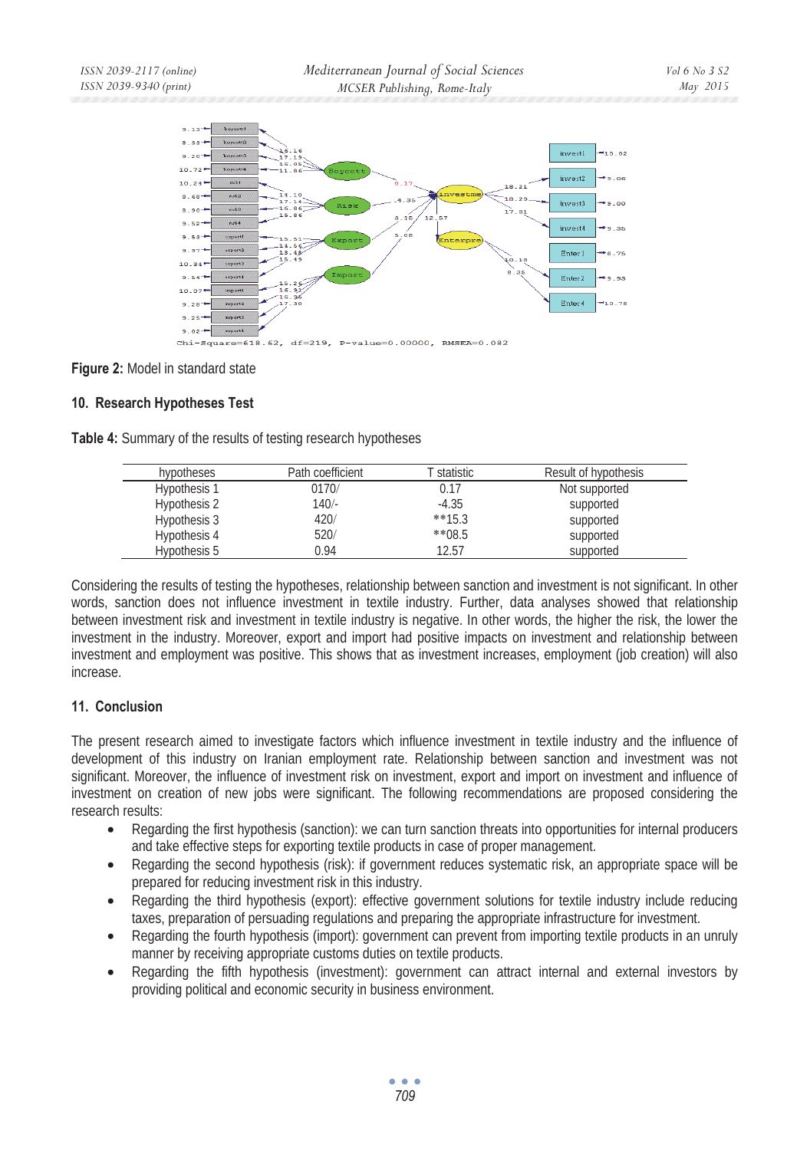

#### **Figure 2:** Model in standard state

#### **10. Research Hypotheses Test**

**Table 4:** Summary of the results of testing research hypotheses

| hypotheses   | Path coefficient | <sup>-</sup> statistic | Result of hypothesis |
|--------------|------------------|------------------------|----------------------|
| Hypothesis 1 | 0170/            | 0.17                   | Not supported        |
| Hypothesis 2 | $140/-$          | $-4.35$                | supported            |
| Hypothesis 3 | 420/             | $**15.3$               | supported            |
| Hypothesis 4 | 520/             | $**08.5$               | supported            |
| Hypothesis 5 | 0.94             | 12.57                  | supported            |

Considering the results of testing the hypotheses, relationship between sanction and investment is not significant. In other words, sanction does not influence investment in textile industry. Further, data analyses showed that relationship between investment risk and investment in textile industry is negative. In other words, the higher the risk, the lower the investment in the industry. Moreover, export and import had positive impacts on investment and relationship between investment and employment was positive. This shows that as investment increases, employment (job creation) will also increase.

#### **11. Conclusion**

The present research aimed to investigate factors which influence investment in textile industry and the influence of development of this industry on Iranian employment rate. Relationship between sanction and investment was not significant. Moreover, the influence of investment risk on investment, export and import on investment and influence of investment on creation of new jobs were significant. The following recommendations are proposed considering the research results:

- Regarding the first hypothesis (sanction): we can turn sanction threats into opportunities for internal producers and take effective steps for exporting textile products in case of proper management.
- Regarding the second hypothesis (risk): if government reduces systematic risk, an appropriate space will be prepared for reducing investment risk in this industry.
- Regarding the third hypothesis (export): effective government solutions for textile industry include reducing taxes, preparation of persuading regulations and preparing the appropriate infrastructure for investment.
- Regarding the fourth hypothesis (import): government can prevent from importing textile products in an unruly manner by receiving appropriate customs duties on textile products.
- Regarding the fifth hypothesis (investment): government can attract internal and external investors by providing political and economic security in business environment.